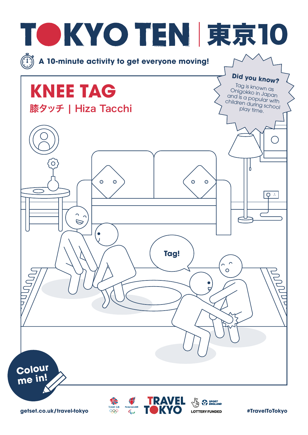